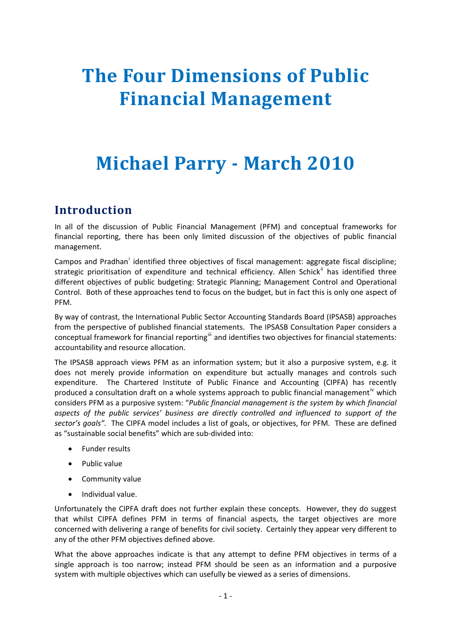# **The Four Dimensions of Public Financial Management**

# **Michael Parry March 2010**

## **Introduction**

In all of the discussion of Public Financial Management (PFM) and conceptual frameworks for financial reporting, there has been only limited discussion of the objectives of public financial management.

Campos and Pradhan<sup>[i](#page-9-0)</sup> identified three objectives of fiscal management: aggregate fiscal discipline; strategic prioritisation of expenditure and technical efficiency. Allen Schick<sup>[ii](#page-9-1)</sup> has identified three different objectives of public budgeting: Strategic Planning; Management Control and Operational Control. Both of these approaches tend to focus on the budget, but in fact this is only one aspect of PFM.

By way of contrast, the International Public Sector Accounting Standards Board (IPSASB) approaches from the perspective of published financial statements. The IPSASB Consultation Paper considers a conceptual framework for financial reporting<sup>[iii](#page-9-1)</sup> and identifies two objectives for financial statements: accountability and resource allocation.

The IPSASB approach views PFM as an information system; but it also a purposive system, e.g. it does not merely provide information on expenditure but actually manages and controls such expenditure. The Chartered Institute of Public Finance and Accounting (CIPFA) has recently produced a consultation draft on a whole systems approach to public financial management<sup>[iv](#page-9-1)</sup> which considers PFM as a purposive system: "*Public financial management is the system by which financial aspects of the public services' business are directly controlled and influenced to support of the sector's goals".* The CIPFA model includes a list of goals, or objectives, for PFM. These are defined as "sustainable social benefits" which are sub‐divided into:

- Funder results
- Public value
- Community value
- Individual value.

Unfortunately the CIPFA draft does not further explain these concepts. However, they do suggest that whilst CIPFA defines PFM in terms of financial aspects, the target objectives are more concerned with delivering a range of benefits for civil society. Certainly they appear very different to any of the other PFM objectives defined above.

What the above approaches indicate is that any attempt to define PFM objectives in terms of a single approach is too narrow; instead PFM should be seen as an information and a purposive system with multiple objectives which can usefully be viewed as a series of dimensions.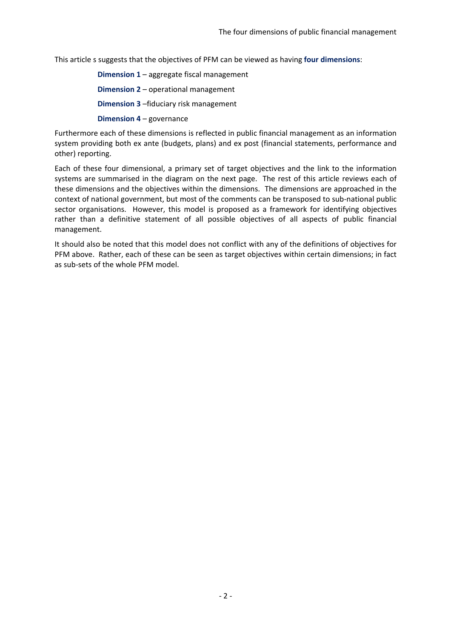This article s suggests that the objectives of PFM can be viewed as having **four dimensions**:

**Dimension 1** – aggregate fiscal management **Dimension 2** – operational management **Dimension 3** –fiduciary risk management **Dimension 4** – governance

Furthermore each of these dimensions is reflected in public financial management as an information system providing both ex ante (budgets, plans) and ex post (financial statements, performance and other) reporting.

Each of these four dimensional, a primary set of target objectives and the link to the information systems are summarised in the diagram on the next page. The rest of this article reviews each of these dimensions and the objectives within the dimensions. The dimensions are approached in the context of national government, but most of the comments can be transposed to sub-national public sector organisations. However, this model is proposed as a framework for identifying objectives rather than a definitive statement of all possible objectives of all aspects of public financial management.

It should also be noted that this model does not conflict with any of the definitions of objectives for PFM above. Rather, each of these can be seen as target objectives within certain dimensions; in fact as sub‐sets of the whole PFM model.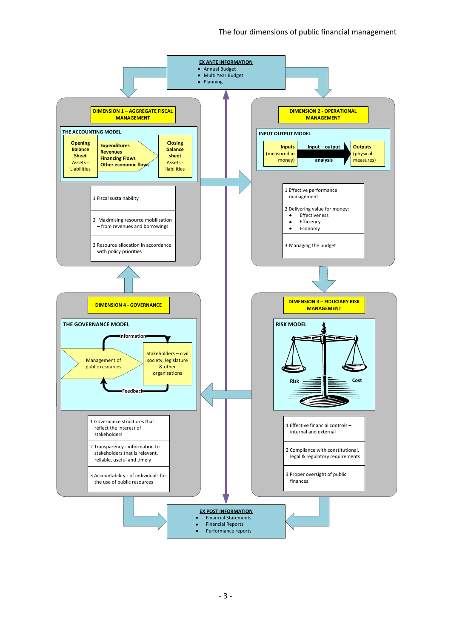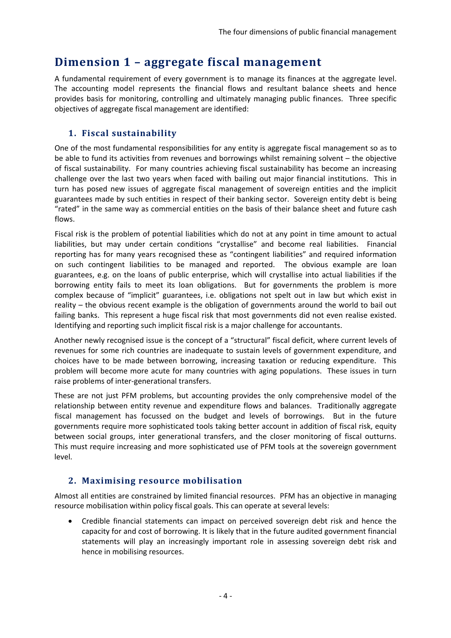## **Dimension 1 – aggregate fiscal management**

A fundamental requirement of every government is to manage its finances at the aggregate level. The accounting model represents the financial flows and resultant balance sheets and hence provides basis for monitoring, controlling and ultimately managing public finances. Three specific objectives of aggregate fiscal management are identified:

## **1. Fiscal sustainability**

One of the most fundamental responsibilities for any entity is aggregate fiscal management so as to be able to fund its activities from revenues and borrowings whilst remaining solvent – the objective of fiscal sustainability. For many countries achieving fiscal sustainability has become an increasing challenge over the last two years when faced with bailing out major financial institutions. This in turn has posed new issues of aggregate fiscal management of sovereign entities and the implicit guarantees made by such entities in respect of their banking sector. Sovereign entity debt is being "rated" in the same way as commercial entities on the basis of their balance sheet and future cash flows.

Fiscal risk is the problem of potential liabilities which do not at any point in time amount to actual liabilities, but may under certain conditions "crystallise" and become real liabilities. Financial reporting has for many years recognised these as "contingent liabilities" and required information on such contingent liabilities to be managed and reported. The obvious example are loan guarantees, e.g. on the loans of public enterprise, which will crystallise into actual liabilities if the borrowing entity fails to meet its loan obligations. But for governments the problem is more complex because of "implicit" guarantees, i.e. obligations not spelt out in law but which exist in reality – the obvious recent example is the obligation of governments around the world to bail out failing banks. This represent a huge fiscal risk that most governments did not even realise existed. Identifying and reporting such implicit fiscal risk is a major challenge for accountants.

Another newly recognised issue is the concept of a "structural" fiscal deficit, where current levels of revenues for some rich countries are inadequate to sustain levels of government expenditure, and choices have to be made between borrowing, increasing taxation or reducing expenditure. This problem will become more acute for many countries with aging populations. These issues in turn raise problems of inter‐generational transfers.

These are not just PFM problems, but accounting provides the only comprehensive model of the relationship between entity revenue and expenditure flows and balances. Traditionally aggregate fiscal management has focussed on the budget and levels of borrowings. But in the future governments require more sophisticated tools taking better account in addition of fiscal risk, equity between social groups, inter generational transfers, and the closer monitoring of fiscal outturns. This must require increasing and more sophisticated use of PFM tools at the sovereign government level.

### **2. Maximising resource mobilisation**

Almost all entities are constrained by limited financial resources. PFM has an objective in managing resource mobilisation within policy fiscal goals. This can operate at several levels:

• Credible financial statements can impact on perceived sovereign debt risk and hence the capacity for and cost of borrowing. It is likely that in the future audited government financial statements will play an increasingly important role in assessing sovereign debt risk and hence in mobilising resources.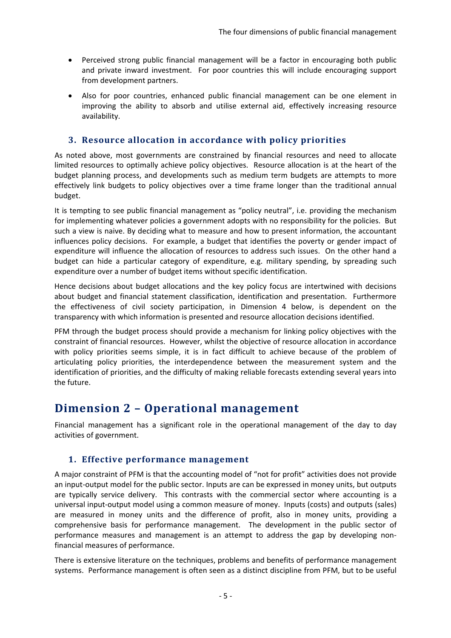- Perceived strong public financial management will be a factor in encouraging both public and private inward investment. For poor countries this will include encouraging support from development partners.
- Also for poor countries, enhanced public financial management can be one element in improving the ability to absorb and utilise external aid, effectively increasing resource availability.

#### **3. Resource allocation in accordance with policy priorities**

As noted above, most governments are constrained by financial resources and need to allocate limited resources to optimally achieve policy objectives. Resource allocation is at the heart of the budget planning process, and developments such as medium term budgets are attempts to more effectively link budgets to policy objectives over a time frame longer than the traditional annual budget.

It is tempting to see public financial management as "policy neutral", i.e. providing the mechanism for implementing whatever policies a government adopts with no responsibility for the policies. But such a view is naive. By deciding what to measure and how to present information, the accountant influences policy decisions. For example, a budget that identifies the poverty or gender impact of expenditure will influence the allocation of resources to address such issues. On the other hand a budget can hide a particular category of expenditure, e.g. military spending, by spreading such expenditure over a number of budget items without specific identification.

Hence decisions about budget allocations and the key policy focus are intertwined with decisions about budget and financial statement classification, identification and presentation. Furthermore the effectiveness of civil society participation, in Dimension 4 below, is dependent on the transparency with which information is presented and resource allocation decisions identified.

PFM through the budget process should provide a mechanism for linking policy objectives with the constraint of financial resources. However, whilst the objective of resource allocation in accordance with policy priorities seems simple, it is in fact difficult to achieve because of the problem of articulating policy priorities, the interdependence between the measurement system and the identification of priorities, and the difficulty of making reliable forecasts extending several years into the future.

## **Dimension 2 – Operational management**

Financial management has a significant role in the operational management of the day to day activities of government.

#### **1. Effective performance management**

A major constraint of PFM is that the accounting model of "not for profit" activities does not provide an input-output model for the public sector. Inputs are can be expressed in money units, but outputs are typically service delivery. This contrasts with the commercial sector where accounting is a universal input‐output model using a common measure of money. Inputs (costs) and outputs (sales) are measured in money units and the difference of profit, also in money units, providing a comprehensive basis for performance management. The development in the public sector of performance measures and management is an attempt to address the gap by developing non‐ financial measures of performance.

There is extensive literature on the techniques, problems and benefits of performance management systems. Performance management is often seen as a distinct discipline from PFM, but to be useful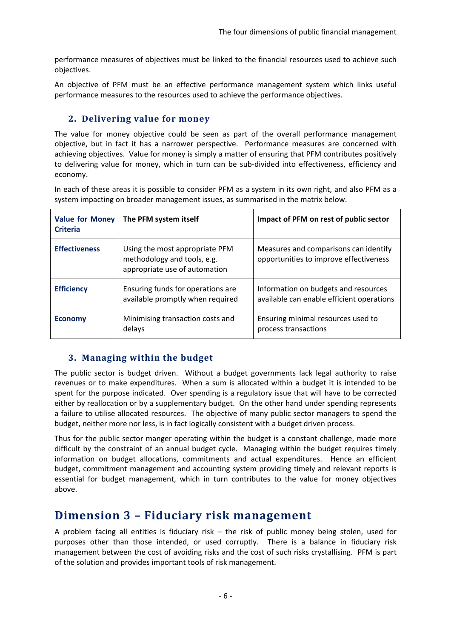performance measures of objectives must be linked to the financial resources used to achieve such objectives.

An objective of PFM must be an effective performance management system which links useful performance measures to the resources used to achieve the performance objectives.

#### **2. Delivering value for money**

The value for money objective could be seen as part of the overall performance management objective, but in fact it has a narrower perspective. Performance measures are concerned with achieving objectives. Value for money is simply a matter of ensuring that PFM contributes positively to delivering value for money, which in turn can be sub-divided into effectiveness, efficiency and economy.

In each of these areas it is possible to consider PFM as a system in its own right, and also PFM as a system impacting on broader management issues, as summarised in the matrix below.

| <b>Value for Money</b><br><b>Criteria</b> | The PFM system itself                                                                          | Impact of PFM on rest of public sector                                            |
|-------------------------------------------|------------------------------------------------------------------------------------------------|-----------------------------------------------------------------------------------|
| <b>Effectiveness</b>                      | Using the most appropriate PFM<br>methodology and tools, e.g.<br>appropriate use of automation | Measures and comparisons can identify<br>opportunities to improve effectiveness   |
| <b>Efficiency</b>                         | Ensuring funds for operations are<br>available promptly when required                          | Information on budgets and resources<br>available can enable efficient operations |
| <b>Economy</b>                            | Minimising transaction costs and<br>delays                                                     | Ensuring minimal resources used to<br>process transactions                        |

#### **3. Managing within the budget**

The public sector is budget driven. Without a budget governments lack legal authority to raise revenues or to make expenditures. When a sum is allocated within a budget it is intended to be spent for the purpose indicated. Over spending is a regulatory issue that will have to be corrected either by reallocation or by a supplementary budget. On the other hand under spending represents a failure to utilise allocated resources. The objective of many public sector managers to spend the budget, neither more nor less, is in fact logically consistent with a budget driven process.

Thus for the public sector manger operating within the budget is a constant challenge, made more difficult by the constraint of an annual budget cycle. Managing within the budget requires timely information on budget allocations, commitments and actual expenditures. Hence an efficient budget, commitment management and accounting system providing timely and relevant reports is essential for budget management, which in turn contributes to the value for money objectives above.

## **Dimension 3 – Fiduciary risk management**

A problem facing all entities is fiduciary risk – the risk of public money being stolen, used for purposes other than those intended, or used corruptly. There is a balance in fiduciary risk management between the cost of avoiding risks and the cost of such risks crystallising. PFM is part of the solution and provides important tools of risk management.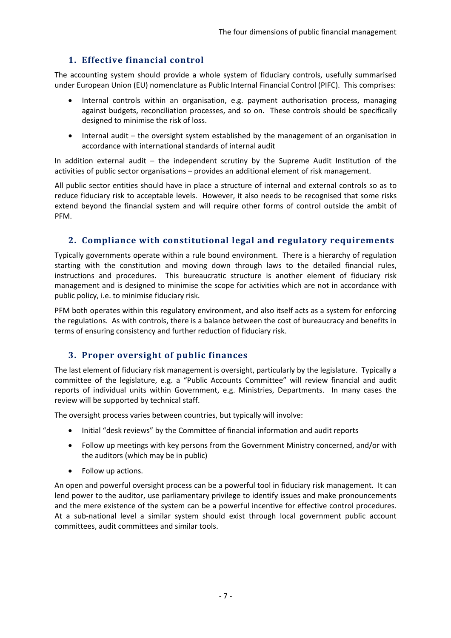### **1. Effective financial control**

The accounting system should provide a whole system of fiduciary controls, usefully summarised under European Union (EU) nomenclature as Public Internal Financial Control (PIFC). This comprises:

- Internal controls within an organisation, e.g. payment authorisation process, managing against budgets, reconciliation processes, and so on. These controls should be specifically designed to minimise the risk of loss.
- Internal audit the oversight system established by the management of an organisation in accordance with international standards of internal audit

In addition external audit – the independent scrutiny by the Supreme Audit Institution of the activities of public sector organisations – provides an additional element of risk management.

All public sector entities should have in place a structure of internal and external controls so as to reduce fiduciary risk to acceptable levels. However, it also needs to be recognised that some risks extend beyond the financial system and will require other forms of control outside the ambit of PFM.

#### **2. Compliance with constitutional legal and regulatory requirements**

Typically governments operate within a rule bound environment. There is a hierarchy of regulation starting with the constitution and moving down through laws to the detailed financial rules, instructions and procedures. This bureaucratic structure is another element of fiduciary risk management and is designed to minimise the scope for activities which are not in accordance with public policy, i.e. to minimise fiduciary risk.

PFM both operates within this regulatory environment, and also itself acts as a system for enforcing the regulations. As with controls, there is a balance between the cost of bureaucracy and benefits in terms of ensuring consistency and further reduction of fiduciary risk.

#### **3. Proper oversight of public finances**

The last element of fiduciary risk management is oversight, particularly by the legislature. Typically a committee of the legislature, e.g. a "Public Accounts Committee" will review financial and audit reports of individual units within Government, e.g. Ministries, Departments. In many cases the review will be supported by technical staff.

The oversight process varies between countries, but typically will involve:

- Initial "desk reviews" by the Committee of financial information and audit reports
- Follow up meetings with key persons from the Government Ministry concerned, and/or with the auditors (which may be in public)
- Follow up actions.

An open and powerful oversight process can be a powerful tool in fiduciary risk management. It can lend power to the auditor, use parliamentary privilege to identify issues and make pronouncements and the mere existence of the system can be a powerful incentive for effective control procedures. At a sub-national level a similar system should exist through local government public account committees, audit committees and similar tools.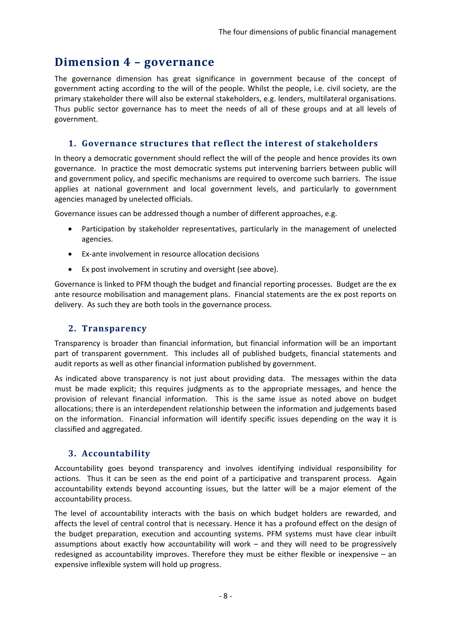## **Dimension 4 – governance**

The governance dimension has great significance in government because of the concept of government acting according to the will of the people. Whilst the people, i.e. civil society, are the primary stakeholder there will also be external stakeholders, e.g. lenders, multilateral organisations. Thus public sector governance has to meet the needs of all of these groups and at all levels of government.

#### **1. Governance structures that reflect the interest of stakeholders**

In theory a democratic government should reflect the will of the people and hence provides its own governance. In practice the most democratic systems put intervening barriers between public will and government policy, and specific mechanisms are required to overcome such barriers. The issue applies at national government and local government levels, and particularly to government agencies managed by unelected officials.

Governance issues can be addressed though a number of different approaches, e.g.

- Participation by stakeholder representatives, particularly in the management of unelected agencies.
- Ex‐ante involvement in resource allocation decisions
- Ex post involvement in scrutiny and oversight (see above).

Governance is linked to PFM though the budget and financial reporting processes. Budget are the ex ante resource mobilisation and management plans. Financial statements are the ex post reports on delivery. As such they are both tools in the governance process.

#### **2. Transparency**

Transparency is broader than financial information, but financial information will be an important part of transparent government. This includes all of published budgets, financial statements and audit reports as well as other financial information published by government.

As indicated above transparency is not just about providing data. The messages within the data must be made explicit; this requires judgments as to the appropriate messages, and hence the provision of relevant financial information. This is the same issue as noted above on budget allocations; there is an interdependent relationship between the information and judgements based on the information. Financial information will identify specific issues depending on the way it is classified and aggregated.

#### **3. Accountability**

Accountability goes beyond transparency and involves identifying individual responsibility for actions. Thus it can be seen as the end point of a participative and transparent process. Again accountability extends beyond accounting issues, but the latter will be a major element of the accountability process.

The level of accountability interacts with the basis on which budget holders are rewarded, and affects the level of central control that is necessary. Hence it has a profound effect on the design of the budget preparation, execution and accounting systems. PFM systems must have clear inbuilt assumptions about exactly how accountability will work – and they will need to be progressively redesigned as accountability improves. Therefore they must be either flexible or inexpensive – an expensive inflexible system will hold up progress.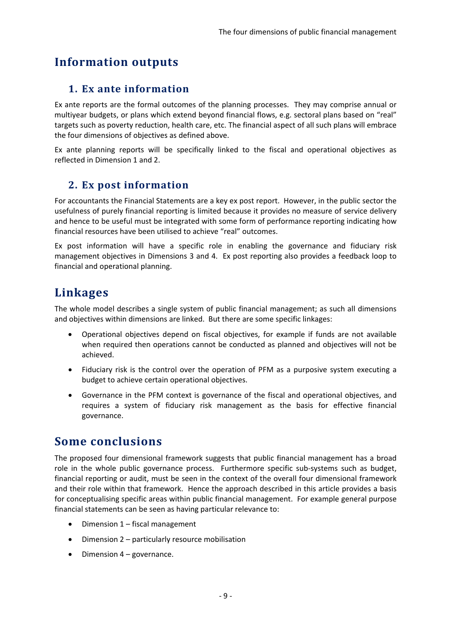# **Information outputs**

## **1. Ex ante information**

Ex ante reports are the formal outcomes of the planning processes. They may comprise annual or multiyear budgets, or plans which extend beyond financial flows, e.g. sectoral plans based on "real" targets such as poverty reduction, health care, etc. The financial aspect of all such plans will embrace the four dimensions of objectives as defined above.

Ex ante planning reports will be specifically linked to the fiscal and operational objectives as reflected in Dimension 1 and 2.

## **2. Ex post information**

For accountants the Financial Statements are a key ex post report. However, in the public sector the usefulness of purely financial reporting is limited because it provides no measure of service delivery and hence to be useful must be integrated with some form of performance reporting indicating how financial resources have been utilised to achieve "real" outcomes.

Ex post information will have a specific role in enabling the governance and fiduciary risk management objectives in Dimensions 3 and 4. Ex post reporting also provides a feedback loop to financial and operational planning.

# **Linkages**

The whole model describes a single system of public financial management; as such all dimensions and objectives within dimensions are linked. But there are some specific linkages:

- Operational objectives depend on fiscal objectives, for example if funds are not available when required then operations cannot be conducted as planned and objectives will not be achieved.
- Fiduciary risk is the control over the operation of PFM as a purposive system executing a budget to achieve certain operational objectives.
- Governance in the PFM context is governance of the fiscal and operational objectives, and requires a system of fiduciary risk management as the basis for effective financial governance.

## **Some conclusions**

The proposed four dimensional framework suggests that public financial management has a broad role in the whole public governance process. Furthermore specific sub-systems such as budget, financial reporting or audit, must be seen in the context of the overall four dimensional framework and their role within that framework. Hence the approach described in this article provides a basis for conceptualising specific areas within public financial management. For example general purpose financial statements can be seen as having particular relevance to:

- Dimension 1 fiscal management
- Dimension 2 particularly resource mobilisation
- Dimension 4 governance.